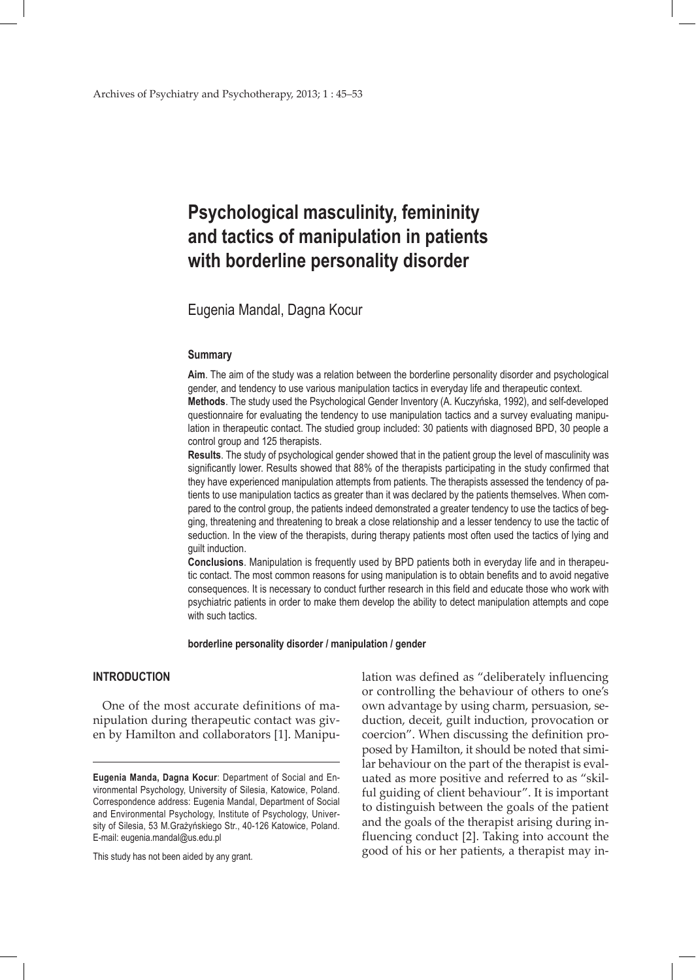# **Psychological masculinity, femininity and tactics of manipulation in patients with borderline personality disorder**

Eugenia Mandal, Dagna Kocur

#### **Summary**

**Aim**. The aim of the study was a relation between the borderline personality disorder and psychological gender, and tendency to use various manipulation tactics in everyday life and therapeutic context. **Methods**. The study used the Psychological Gender Inventory (A. Kuczyńska, 1992), and self-developed questionnaire for evaluating the tendency to use manipulation tactics and a survey evaluating manipulation in therapeutic contact. The studied group included: 30 patients with diagnosed BPD, 30 people a control group and 125 therapists.

**Results**. The study of psychological gender showed that in the patient group the level of masculinity was significantly lower. Results showed that 88% of the therapists participating in the study confirmed that they have experienced manipulation attempts from patients. The therapists assessed the tendency of patients to use manipulation tactics as greater than it was declared by the patients themselves. When compared to the control group, the patients indeed demonstrated a greater tendency to use the tactics of begging, threatening and threatening to break a close relationship and a lesser tendency to use the tactic of seduction. In the view of the therapists, during therapy patients most often used the tactics of lying and guilt induction.

**Conclusions**. Manipulation is frequently used by BPD patients both in everyday life and in therapeutic contact. The most common reasons for using manipulation is to obtain benefits and to avoid negative consequences. It is necessary to conduct further research in this field and educate those who work with psychiatric patients in order to make them develop the ability to detect manipulation attempts and cope with such tactics.

#### **borderline personality disorder / manipulation / gender**

## **INTRODUCTION**

One of the most accurate definitions of manipulation during therapeutic contact was given by Hamilton and collaborators [1]. Manipu-

This study has not been aided by any grant.

lation was defined as "deliberately influencing or controlling the behaviour of others to one's own advantage by using charm, persuasion, seduction, deceit, guilt induction, provocation or coercion". When discussing the definition proposed by Hamilton, it should be noted that similar behaviour on the part of the therapist is evaluated as more positive and referred to as "skilful guiding of client behaviour". It is important to distinguish between the goals of the patient and the goals of the therapist arising during influencing conduct [2]. Taking into account the good of his or her patients, a therapist may in-

**Eugenia Manda, Dagna Kocur**: Department of Social and Environmental Psychology, University of Silesia, Katowice, Poland. Correspondence address: Eugenia Mandal, Department of Social and Environmental Psychology, Institute of Psychology, University of Silesia, 53 M.Grażyńskiego Str., 40-126 Katowice, Poland. E-mail: eugenia.mandal@us.edu.pl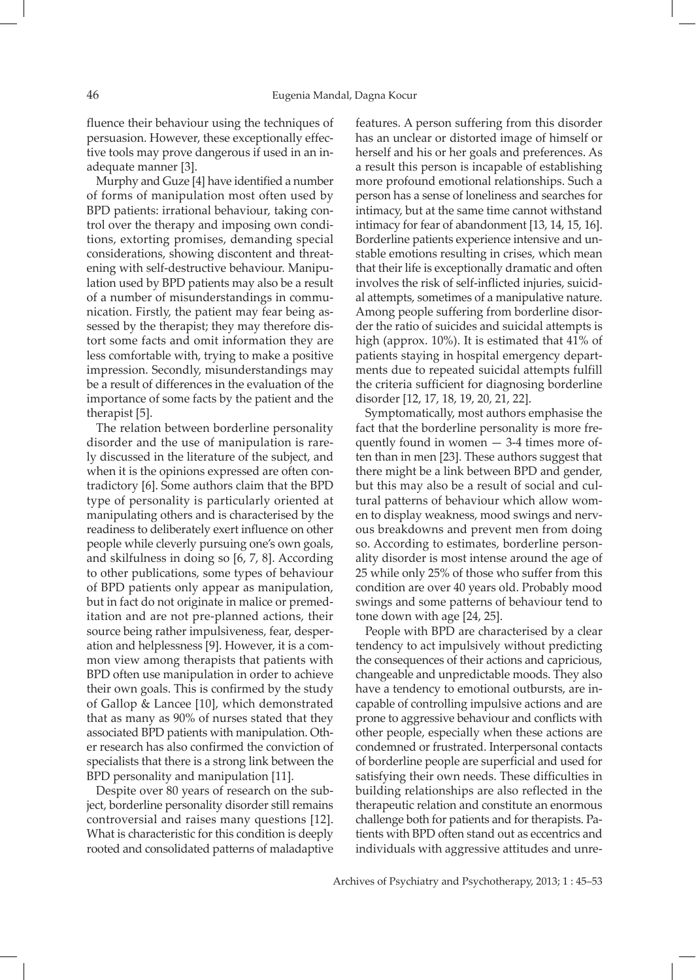fluence their behaviour using the techniques of persuasion. However, these exceptionally effective tools may prove dangerous if used in an inadequate manner [3].

Murphy and Guze [4] have identified a number of forms of manipulation most often used by BPD patients: irrational behaviour, taking control over the therapy and imposing own conditions, extorting promises, demanding special considerations, showing discontent and threatening with self-destructive behaviour. Manipulation used by BPD patients may also be a result of a number of misunderstandings in communication. Firstly, the patient may fear being assessed by the therapist; they may therefore distort some facts and omit information they are less comfortable with, trying to make a positive impression. Secondly, misunderstandings may be a result of differences in the evaluation of the importance of some facts by the patient and the therapist [5].

The relation between borderline personality disorder and the use of manipulation is rarely discussed in the literature of the subject, and when it is the opinions expressed are often contradictory [6]. Some authors claim that the BPD type of personality is particularly oriented at manipulating others and is characterised by the readiness to deliberately exert influence on other people while cleverly pursuing one's own goals, and skilfulness in doing so [6, 7, 8]. According to other publications, some types of behaviour of BPD patients only appear as manipulation, but in fact do not originate in malice or premeditation and are not pre-planned actions, their source being rather impulsiveness, fear, desperation and helplessness [9]. However, it is a common view among therapists that patients with BPD often use manipulation in order to achieve their own goals. This is confirmed by the study of Gallop & Lancee [10], which demonstrated that as many as 90% of nurses stated that they associated BPD patients with manipulation. Other research has also confirmed the conviction of specialists that there is a strong link between the BPD personality and manipulation [11].

Despite over 80 years of research on the subject, borderline personality disorder still remains controversial and raises many questions [12]. What is characteristic for this condition is deeply rooted and consolidated patterns of maladaptive

features. A person suffering from this disorder has an unclear or distorted image of himself or herself and his or her goals and preferences. As a result this person is incapable of establishing more profound emotional relationships. Such a person has a sense of loneliness and searches for intimacy, but at the same time cannot withstand intimacy for fear of abandonment [13, 14, 15, 16]. Borderline patients experience intensive and unstable emotions resulting in crises, which mean that their life is exceptionally dramatic and often involves the risk of self-inflicted injuries, suicidal attempts, sometimes of a manipulative nature. Among people suffering from borderline disorder the ratio of suicides and suicidal attempts is high (approx. 10%). It is estimated that 41% of patients staying in hospital emergency departments due to repeated suicidal attempts fulfill the criteria sufficient for diagnosing borderline disorder [12, 17, 18, 19, 20, 21, 22].

Symptomatically, most authors emphasise the fact that the borderline personality is more frequently found in women — 3-4 times more often than in men [23]. These authors suggest that there might be a link between BPD and gender, but this may also be a result of social and cultural patterns of behaviour which allow women to display weakness, mood swings and nervous breakdowns and prevent men from doing so. According to estimates, borderline personality disorder is most intense around the age of 25 while only 25% of those who suffer from this condition are over 40 years old. Probably mood swings and some patterns of behaviour tend to tone down with age [24, 25].

People with BPD are characterised by a clear tendency to act impulsively without predicting the consequences of their actions and capricious, changeable and unpredictable moods. They also have a tendency to emotional outbursts, are incapable of controlling impulsive actions and are prone to aggressive behaviour and conflicts with other people, especially when these actions are condemned or frustrated. Interpersonal contacts of borderline people are superficial and used for satisfying their own needs. These difficulties in building relationships are also reflected in the therapeutic relation and constitute an enormous challenge both for patients and for therapists. Patients with BPD often stand out as eccentrics and individuals with aggressive attitudes and unre-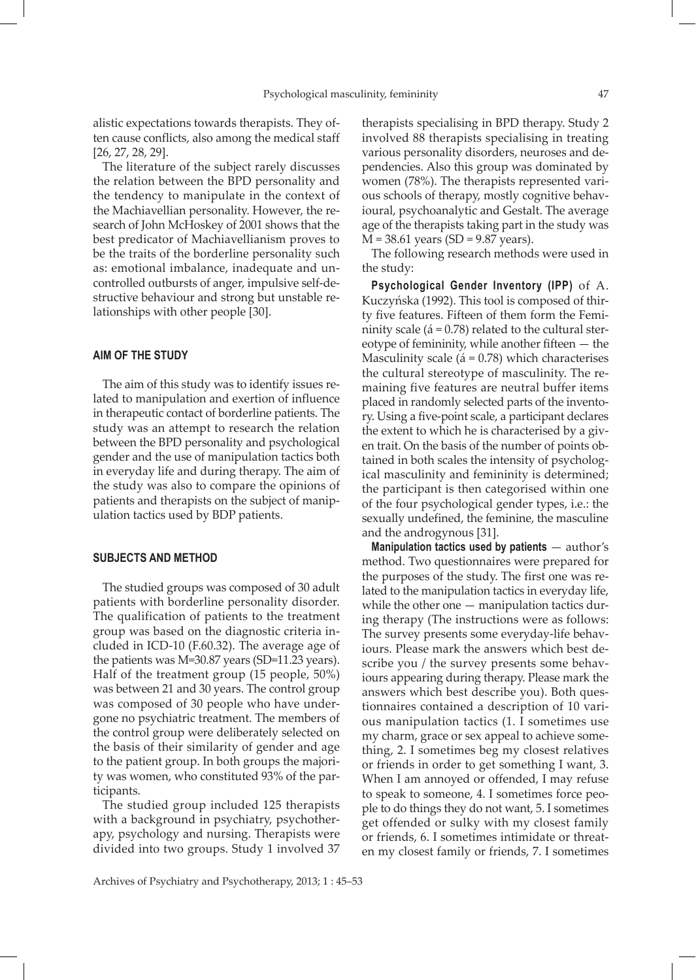alistic expectations towards therapists. They often cause conflicts, also among the medical staff [26, 27, 28, 29].

The literature of the subject rarely discusses the relation between the BPD personality and the tendency to manipulate in the context of the Machiavellian personality. However, the research of John McHoskey of 2001 shows that the best predicator of Machiavellianism proves to be the traits of the borderline personality such as: emotional imbalance, inadequate and uncontrolled outbursts of anger, impulsive self-destructive behaviour and strong but unstable relationships with other people [30].

## **AIM OF THE STUDY**

The aim of this study was to identify issues related to manipulation and exertion of influence in therapeutic contact of borderline patients. The study was an attempt to research the relation between the BPD personality and psychological gender and the use of manipulation tactics both in everyday life and during therapy. The aim of the study was also to compare the opinions of patients and therapists on the subject of manipulation tactics used by BDP patients.

#### **SUBJECTS AND METHOD**

The studied groups was composed of 30 adult patients with borderline personality disorder. The qualification of patients to the treatment group was based on the diagnostic criteria included in ICD-10 (F.60.32). The average age of the patients was M=30.87 years (SD=11.23 years). Half of the treatment group (15 people, 50%) was between 21 and 30 years. The control group was composed of 30 people who have undergone no psychiatric treatment. The members of the control group were deliberately selected on the basis of their similarity of gender and age to the patient group. In both groups the majority was women, who constituted 93% of the participants.

The studied group included 125 therapists with a background in psychiatry, psychotherapy, psychology and nursing. Therapists were divided into two groups. Study 1 involved 37

therapists specialising in BPD therapy. Study 2 involved 88 therapists specialising in treating various personality disorders, neuroses and dependencies. Also this group was dominated by women (78%). The therapists represented various schools of therapy, mostly cognitive behavioural, psychoanalytic and Gestalt. The average age of the therapists taking part in the study was  $M = 38.61$  years (SD = 9.87 years).

The following research methods were used in the study:

**Psychological Gender Inventory (IPP)** of A. Kuczyńska (1992). This tool is composed of thirty five features. Fifteen of them form the Femininity scale ( $\acute{a}$  = 0.78) related to the cultural stereotype of femininity, while another fifteen — the Masculinity scale ( $\acute{a}$  = 0.78) which characterises the cultural stereotype of masculinity. The remaining five features are neutral buffer items placed in randomly selected parts of the inventory. Using a five-point scale, a participant declares the extent to which he is characterised by a given trait. On the basis of the number of points obtained in both scales the intensity of psychological masculinity and femininity is determined; the participant is then categorised within one of the four psychological gender types, i.e.: the sexually undefined, the feminine, the masculine and the androgynous [31].

**Manipulation tactics used by patients** — author's method. Two questionnaires were prepared for the purposes of the study. The first one was related to the manipulation tactics in everyday life, while the other one — manipulation tactics during therapy (The instructions were as follows: The survey presents some everyday-life behaviours. Please mark the answers which best describe you / the survey presents some behaviours appearing during therapy. Please mark the answers which best describe you). Both questionnaires contained a description of 10 various manipulation tactics (1. I sometimes use my charm, grace or sex appeal to achieve something, 2. I sometimes beg my closest relatives or friends in order to get something I want, 3. When I am annoyed or offended, I may refuse to speak to someone, 4. I sometimes force people to do things they do not want, 5. I sometimes get offended or sulky with my closest family or friends, 6. I sometimes intimidate or threaten my closest family or friends, 7. I sometimes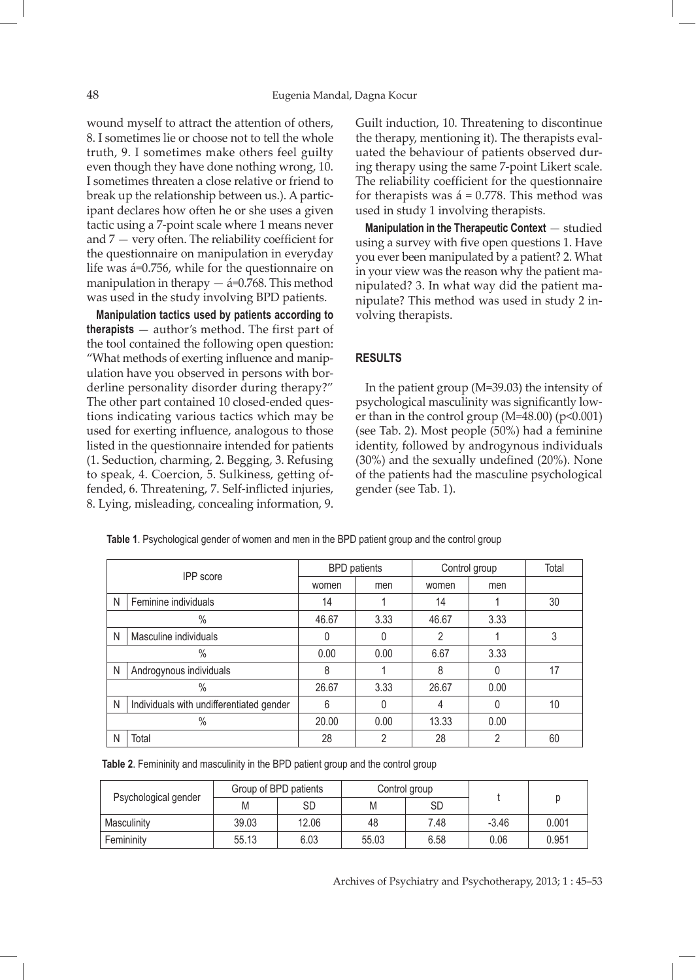wound myself to attract the attention of others, 8. I sometimes lie or choose not to tell the whole truth, 9. I sometimes make others feel guilty even though they have done nothing wrong, 10. I sometimes threaten a close relative or friend to break up the relationship between us.). A participant declares how often he or she uses a given tactic using a 7-point scale where 1 means never and 7 — very often. The reliability coefficient for the questionnaire on manipulation in everyday life was á=0.756, while for the questionnaire on manipulation in therapy  $-$  á=0.768. This method was used in the study involving BPD patients.

**Manipulation tactics used by patients according to therapists** — author's method. The first part of the tool contained the following open question: "What methods of exerting influence and manipulation have you observed in persons with borderline personality disorder during therapy?" The other part contained 10 closed-ended questions indicating various tactics which may be used for exerting influence, analogous to those listed in the questionnaire intended for patients (1. Seduction, charming, 2. Begging, 3. Refusing to speak, 4. Coercion, 5. Sulkiness, getting offended, 6. Threatening, 7. Self-inflicted injuries, 8. Lying, misleading, concealing information, 9.

Guilt induction, 10. Threatening to discontinue the therapy, mentioning it). The therapists evaluated the behaviour of patients observed during therapy using the same 7-point Likert scale. The reliability coefficient for the questionnaire for therapists was  $\acute{a}$  = 0.778. This method was used in study 1 involving therapists.

**Manipulation in the Therapeutic Context** — studied using a survey with five open questions 1. Have you ever been manipulated by a patient? 2. What in your view was the reason why the patient manipulated? 3. In what way did the patient manipulate? This method was used in study 2 involving therapists.

## **RESULTS**

In the patient group (M=39.03) the intensity of psychological masculinity was significantly lower than in the control group ( $M=48.00$ ) ( $p<0.001$ ) (see Tab. 2). Most people (50%) had a feminine identity, followed by androgynous individuals (30%) and the sexually undefined (20%). None of the patients had the masculine psychological gender (see Tab. 1).

| <b>IPP</b> score |                                          | <b>BPD</b> patients |      | Control group |      | Total |
|------------------|------------------------------------------|---------------------|------|---------------|------|-------|
|                  |                                          | women               | men  | women         | men  |       |
| Ν                | Feminine individuals                     | 14                  |      | 14            |      | 30    |
|                  | $\%$                                     | 46.67               | 3.33 | 46.67         | 3.33 |       |
| Ν                | Masculine individuals                    | 0                   |      | 2             |      | 3     |
|                  | $\%$                                     | 0.00                | 0.00 | 6.67          | 3.33 |       |
| Ν                | Androgynous individuals                  | 8                   |      | 8             |      | 17    |
|                  | $\%$                                     | 26.67               | 3.33 | 26.67         | 0.00 |       |
| N                | Individuals with undifferentiated gender | 6                   |      | 4             |      | 10    |
| $\%$             |                                          | 20.00               | 0.00 | 13.33         | 0.00 |       |
| Ν                | Total                                    | 28                  | າ    | 28            | റ    | 60    |

**Table 1**. Psychological gender of women and men in the BPD patient group and the control group

**Table 2**. Femininity and masculinity in the BPD patient group and the control group

|                      | Group of BPD patients |       | Control group |      |         |       |
|----------------------|-----------------------|-------|---------------|------|---------|-------|
| Psychological gender | M                     | SD    | M             | SD   |         |       |
| Masculinity          | 39.03                 | 12.06 | 48            | 7.48 | $-3.46$ | 0.001 |
| Femininity           | 55.13                 | 6.03  | 55.03         | 6.58 | 0.06    | 0.951 |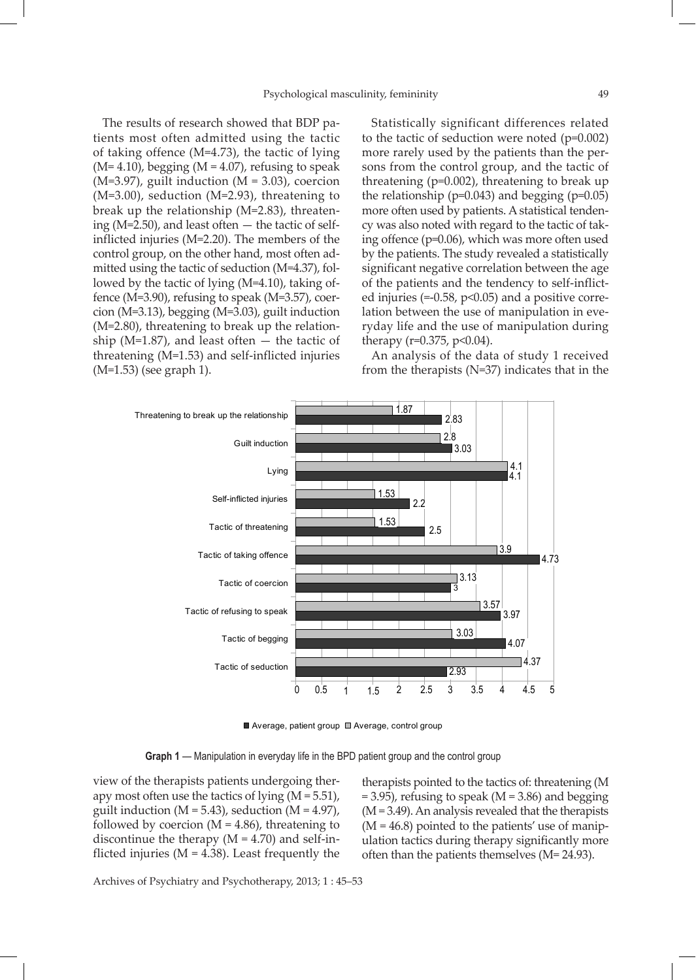The results of research showed that BDP patients most often admitted using the tactic of taking offence (M=4.73), the tactic of lying  $(M=4.10)$ , begging  $(M=4.07)$ , refusing to speak  $(M=3.97)$ , guilt induction  $(M = 3.03)$ , coercion (M=3.00), seduction (M=2.93), threatening to break up the relationship (M=2.83), threatening ( $M=2.50$ ), and least often  $-$  the tactic of selfinflicted injuries (M=2.20). The members of the control group, on the other hand, most often admitted using the tactic of seduction (M=4.37), followed by the tactic of lying (M=4.10), taking offence (M=3.90), refusing to speak (M=3.57), coercion (M=3.13), begging (M=3.03), guilt induction (M=2.80), threatening to break up the relationship ( $M=1.87$ ), and least often  $-$  the tactic of threatening (M=1.53) and self-inflicted injuries (M=1.53) (see graph 1).

Statistically significant differences related to the tactic of seduction were noted (p=0.002) more rarely used by the patients than the persons from the control group, and the tactic of threatening (p=0.002), threatening to break up the relationship ( $p=0.043$ ) and begging ( $p=0.05$ ) more often used by patients. A statistical tendency was also noted with regard to the tactic of taking offence (p=0.06), which was more often used by the patients. The study revealed a statistically significant negative correlation between the age of the patients and the tendency to self-inflicted injuries (=-0.58, p<0.05) and a positive correlation between the use of manipulation in everyday life and the use of manipulation during therapy ( $r=0.375$ ,  $p<0.04$ ).

An analysis of the data of study 1 received from the therapists (N=37) indicates that in the



■ Average, patient group ■ Average, control group

**Graph 1** — Manipulation in everyday life in the BPD patient group and the control group

view of the therapists patients undergoing therapy most often use the tactics of lying  $(M = 5.51)$ , guilt induction  $(M = 5.43)$ , seduction  $(M = 4.97)$ , followed by coercion  $(M = 4.86)$ , threatening to discontinue the therapy  $(M = 4.70)$  and self-inflicted injuries ( $M = 4.38$ ). Least frequently the therapists pointed to the tactics of: threatening (M  $= 3.95$ ), refusing to speak (M  $= 3.86$ ) and begging  $(M = 3.49)$ . An analysis revealed that the therapists  $(M = 46.8)$  pointed to the patients' use of manipulation tactics during therapy significantly more often than the patients themselves (M= 24.93).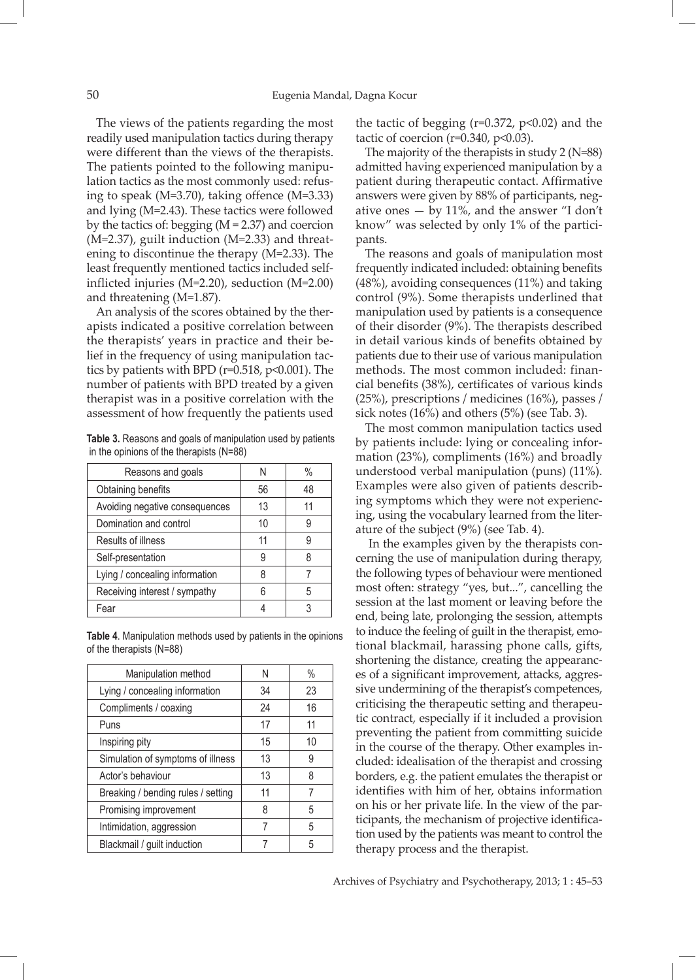The views of the patients regarding the most readily used manipulation tactics during therapy were different than the views of the therapists. The patients pointed to the following manipulation tactics as the most commonly used: refusing to speak (M=3.70), taking offence (M=3.33) and lying (M=2.43). These tactics were followed by the tactics of: begging (M = 2.37) and coercion (M=2.37), guilt induction (M=2.33) and threatening to discontinue the therapy (M=2.33). The least frequently mentioned tactics included selfinflicted injuries (M=2.20), seduction (M=2.00) and threatening (M=1.87).

An analysis of the scores obtained by the therapists indicated a positive correlation between the therapists' years in practice and their belief in the frequency of using manipulation tactics by patients with BPD (r=0.518, p<0.001). The number of patients with BPD treated by a given therapist was in a positive correlation with the assessment of how frequently the patients used

**Table 3.** Reasons and goals of manipulation used by patients in the opinions of the therapists (N=88)

| Reasons and goals              | N  | %  |
|--------------------------------|----|----|
| Obtaining benefits             | 56 | 48 |
| Avoiding negative consequences | 13 | 11 |
| Domination and control         | 10 | 9  |
| Results of illness             | 11 | 9  |
| Self-presentation              | 9  |    |
| Lying / concealing information | 8  |    |
| Receiving interest / sympathy  | 6  | 5  |
| Fear                           |    | ว  |

**Table 4**. Manipulation methods used by patients in the opinions of the therapists (N=88)

| Manipulation method                | N  | $\%$ |
|------------------------------------|----|------|
| Lying / concealing information     | 34 | 23   |
| Compliments / coaxing              | 24 | 16   |
| Puns                               | 17 | 11   |
| Inspiring pity                     | 15 | 10   |
| Simulation of symptoms of illness  | 13 | 9    |
| Actor's behaviour                  | 13 | 8    |
| Breaking / bending rules / setting | 11 | 7    |
| Promising improvement              | 8  | 5    |
| Intimidation, aggression           | 7  | 5    |
| Blackmail / guilt induction        |    | 5    |

the tactic of begging ( $r=0.372$ ,  $p<0.02$ ) and the tactic of coercion ( $r=0.340$ ,  $p<0.03$ ).

The majority of the therapists in study 2 (N=88) admitted having experienced manipulation by a patient during therapeutic contact. Affirmative answers were given by 88% of participants, negative ones  $-$  by 11%, and the answer "I don't know" was selected by only 1% of the participants.

The reasons and goals of manipulation most frequently indicated included: obtaining benefits (48%), avoiding consequences (11%) and taking control (9%). Some therapists underlined that manipulation used by patients is a consequence of their disorder (9%). The therapists described in detail various kinds of benefits obtained by patients due to their use of various manipulation methods. The most common included: financial benefits (38%), certificates of various kinds (25%), prescriptions / medicines (16%), passes / sick notes (16%) and others (5%) (see Tab. 3).

The most common manipulation tactics used by patients include: lying or concealing information (23%), compliments (16%) and broadly understood verbal manipulation (puns) (11%). Examples were also given of patients describing symptoms which they were not experiencing, using the vocabulary learned from the literature of the subject (9%) (see Tab. 4).

 In the examples given by the therapists concerning the use of manipulation during therapy, the following types of behaviour were mentioned most often: strategy "yes, but...", cancelling the session at the last moment or leaving before the end, being late, prolonging the session, attempts to induce the feeling of guilt in the therapist, emotional blackmail, harassing phone calls, gifts, shortening the distance, creating the appearances of a significant improvement, attacks, aggressive undermining of the therapist's competences, criticising the therapeutic setting and therapeutic contract, especially if it included a provision preventing the patient from committing suicide in the course of the therapy. Other examples included: idealisation of the therapist and crossing borders, e.g. the patient emulates the therapist or identifies with him of her, obtains information on his or her private life. In the view of the participants, the mechanism of projective identification used by the patients was meant to control the therapy process and the therapist.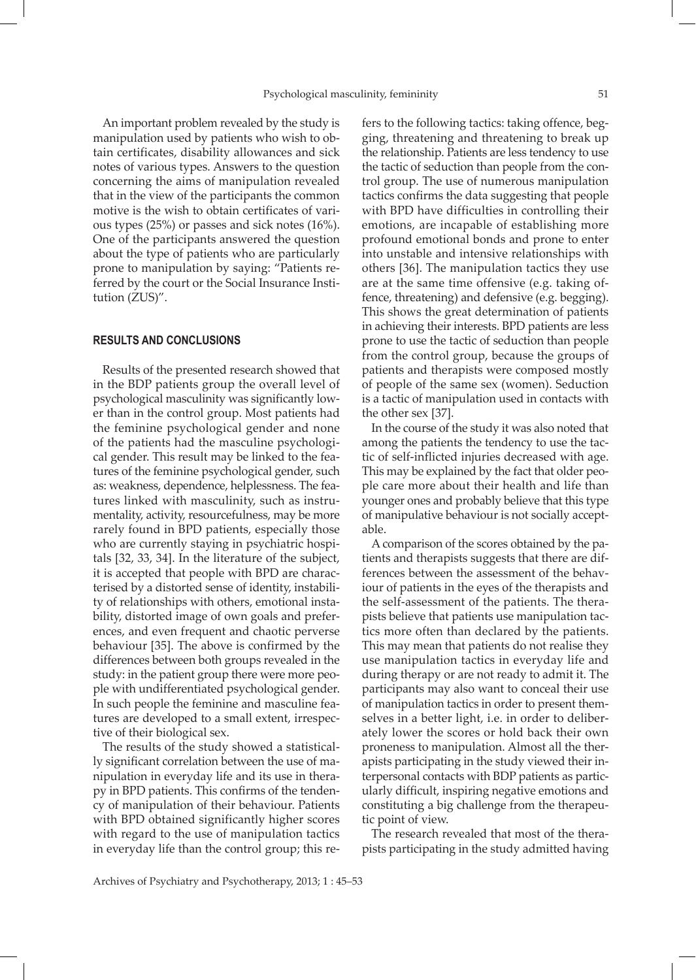An important problem revealed by the study is manipulation used by patients who wish to obtain certificates, disability allowances and sick notes of various types. Answers to the question concerning the aims of manipulation revealed that in the view of the participants the common motive is the wish to obtain certificates of various types (25%) or passes and sick notes (16%). One of the participants answered the question about the type of patients who are particularly prone to manipulation by saying: "Patients referred by the court or the Social Insurance Institution (ZUS)".

#### **RESULTS AND CONCLUSIONS**

Results of the presented research showed that in the BDP patients group the overall level of psychological masculinity was significantly lower than in the control group. Most patients had the feminine psychological gender and none of the patients had the masculine psychological gender. This result may be linked to the features of the feminine psychological gender, such as: weakness, dependence, helplessness. The features linked with masculinity, such as instrumentality, activity, resourcefulness, may be more rarely found in BPD patients, especially those who are currently staying in psychiatric hospitals [32, 33, 34]. In the literature of the subject, it is accepted that people with BPD are characterised by a distorted sense of identity, instability of relationships with others, emotional instability, distorted image of own goals and preferences, and even frequent and chaotic perverse behaviour [35]. The above is confirmed by the differences between both groups revealed in the study: in the patient group there were more people with undifferentiated psychological gender. In such people the feminine and masculine features are developed to a small extent, irrespective of their biological sex.

The results of the study showed a statistically significant correlation between the use of manipulation in everyday life and its use in therapy in BPD patients. This confirms of the tendency of manipulation of their behaviour. Patients with BPD obtained significantly higher scores with regard to the use of manipulation tactics in everyday life than the control group; this refers to the following tactics: taking offence, begging, threatening and threatening to break up the relationship. Patients are less tendency to use the tactic of seduction than people from the control group. The use of numerous manipulation tactics confirms the data suggesting that people with BPD have difficulties in controlling their emotions, are incapable of establishing more profound emotional bonds and prone to enter into unstable and intensive relationships with others [36]. The manipulation tactics they use are at the same time offensive (e.g. taking offence, threatening) and defensive (e.g. begging). This shows the great determination of patients in achieving their interests. BPD patients are less prone to use the tactic of seduction than people from the control group, because the groups of patients and therapists were composed mostly of people of the same sex (women). Seduction is a tactic of manipulation used in contacts with the other sex [37].

In the course of the study it was also noted that among the patients the tendency to use the tactic of self-inflicted injuries decreased with age. This may be explained by the fact that older people care more about their health and life than younger ones and probably believe that this type of manipulative behaviour is not socially acceptable.

A comparison of the scores obtained by the patients and therapists suggests that there are differences between the assessment of the behaviour of patients in the eyes of the therapists and the self-assessment of the patients. The therapists believe that patients use manipulation tactics more often than declared by the patients. This may mean that patients do not realise they use manipulation tactics in everyday life and during therapy or are not ready to admit it. The participants may also want to conceal their use of manipulation tactics in order to present themselves in a better light, i.e. in order to deliberately lower the scores or hold back their own proneness to manipulation. Almost all the therapists participating in the study viewed their interpersonal contacts with BDP patients as particularly difficult, inspiring negative emotions and constituting a big challenge from the therapeutic point of view.

The research revealed that most of the therapists participating in the study admitted having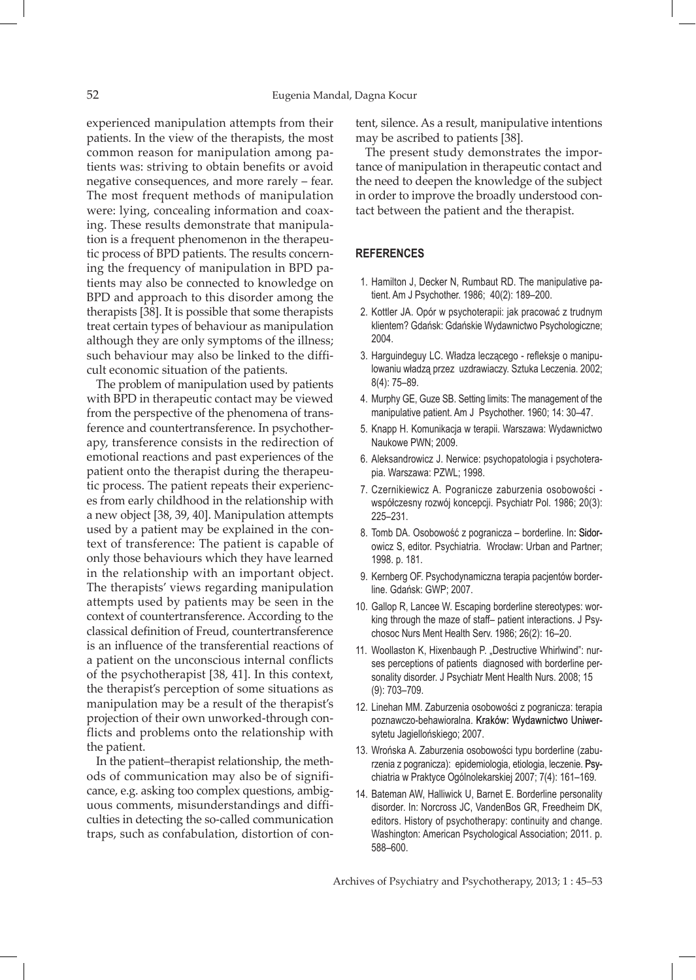experienced manipulation attempts from their patients. In the view of the therapists, the most common reason for manipulation among patients was: striving to obtain benefits or avoid negative consequences, and more rarely – fear. The most frequent methods of manipulation were: lying, concealing information and coaxing. These results demonstrate that manipulation is a frequent phenomenon in the therapeutic process of BPD patients. The results concerning the frequency of manipulation in BPD patients may also be connected to knowledge on BPD and approach to this disorder among the therapists [38]. It is possible that some therapists treat certain types of behaviour as manipulation although they are only symptoms of the illness; such behaviour may also be linked to the difficult economic situation of the patients.

The problem of manipulation used by patients with BPD in therapeutic contact may be viewed from the perspective of the phenomena of transference and countertransference. In psychotherapy, transference consists in the redirection of emotional reactions and past experiences of the patient onto the therapist during the therapeutic process. The patient repeats their experiences from early childhood in the relationship with a new object [38, 39, 40]. Manipulation attempts used by a patient may be explained in the context of transference: The patient is capable of only those behaviours which they have learned in the relationship with an important object. The therapists' views regarding manipulation attempts used by patients may be seen in the context of countertransference. According to the classical definition of Freud, countertransference is an influence of the transferential reactions of a patient on the unconscious internal conflicts of the psychotherapist [38, 41]. In this context, the therapist's perception of some situations as manipulation may be a result of the therapist's projection of their own unworked-through conflicts and problems onto the relationship with the patient.

In the patient–therapist relationship, the methods of communication may also be of significance, e.g. asking too complex questions, ambiguous comments, misunderstandings and difficulties in detecting the so-called communication traps, such as confabulation, distortion of content, silence. As a result, manipulative intentions may be ascribed to patients [38].

The present study demonstrates the importance of manipulation in therapeutic contact and the need to deepen the knowledge of the subject in order to improve the broadly understood contact between the patient and the therapist.

## **REFERENCES**

- 1. Hamilton J, Decker N, Rumbaut RD. The manipulative patient. Am J Psychother. 1986; 40(2): 189–200.
- 2. Kottler JA. Opór w psychoterapii: jak pracować z trudnym klientem? Gdańsk: Gdańskie Wydawnictwo Psychologiczne; 2004.
- 3. Harguindeguy LC. Władza leczącego refleksje o manipulowaniu władzą przez uzdrawiaczy. Sztuka Leczenia. 2002; 8(4): 75–89.
- 4. Murphy GE, Guze SB. Setting limits: The management of the manipulative patient. Am J Psychother. 1960; 14: 30–47.
- 5. Knapp H. Komunikacja w terapii. Warszawa: Wydawnictwo Naukowe PWN; 2009.
- 6. Aleksandrowicz J. Nerwice: psychopatologia i psychoterapia. Warszawa: PZWL; 1998.
- 7. Czernikiewicz A. Pogranicze zaburzenia osobowości współczesny rozwój koncepcji. Psychiatr Pol. 1986; 20(3): 225–231.
- 8. Tomb DA. Osobowość z pogranicza borderline. In: Sidorowicz S, editor. Psychiatria. Wrocław: Urban and Partner; 1998. p. 181.
- 9. Kernberg OF. Psychodynamiczna terapia pacjentów borderline. Gdańsk: GWP; 2007.
- 10. Gallop R, Lancee W. Escaping borderline stereotypes: working through the maze of staff– patient interactions. J Psychosoc Nurs Ment Health Serv. 1986; 26(2): 16–20.
- 11. Woollaston K, Hixenbaugh P. "Destructive Whirlwind": nurses perceptions of patients diagnosed with borderline personality disorder. J Psychiatr Ment Health Nurs. 2008; 15 (9): 703–709.
- 12. Linehan MM. Zaburzenia osobowości z pogranicza: terapia poznawczo-behawioralna. Kraków: Wydawnictwo Uniwersytetu Jagiellońskiego; 2007.
- 13. Wrońska A. Zaburzenia osobowości typu borderline (zaburzenia z pogranicza): epidemiologia, etiologia, leczenie. Psychiatria w Praktyce Ogólnolekarskiej 2007; 7(4): 161–169.
- 14. Bateman AW, Halliwick U, Barnet E. Borderline personality disorder. In: Norcross JC, VandenBos GR, Freedheim DK, editors. History of psychotherapy: continuity and change. Washington: American Psychological Association; 2011. p. 588–600.